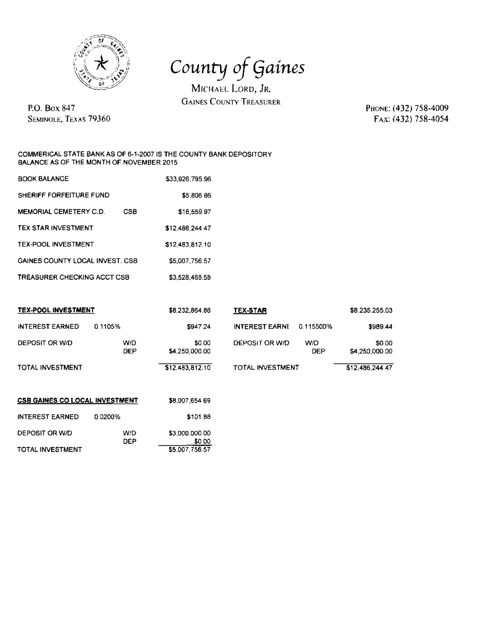

County of Gaines

MICHAEL LORD, JR. **GAINES COUNTY TREASURER** 

**P.O. Box 847 SEMINOLE. TEXAS 79360**  PHONE: (432) 758-4009 FAX: (432) 758-4054

## **COMMERICAL STATE BANK AS OF 6-1-2007 IS THE COUNTY BANK DEPOSITORY BALANCE AS OF THE**

| <b>BOOK BALANCE</b>             |     | \$33,926,795.96 |
|---------------------------------|-----|-----------------|
| SHERIFF FORFEITURE FUND         |     | \$5,806.86      |
| <b>MEMORIAL CEMETERY C.D.</b>   | CSB | \$16,559.97     |
| <b>TEX STAR INVESTMENT</b>      |     | \$12,486,244.47 |
| <b>TEX-POOL INVESTMENT</b>      |     | \$12,483,812.10 |
| GAINES COUNTY LOCAL INVEST. CSB |     | \$5,007,756.57  |
| TREASURER CHECKING ACCT CSB     |     | \$3.528,468.58  |

| TEX-POOL INVESTMENT                   |            | \$8,232,864.86           | <b>TEX-STAR</b>         |                   | \$8,235,255.03           |
|---------------------------------------|------------|--------------------------|-------------------------|-------------------|--------------------------|
| <b>INTEREST EARNED</b>                | 0.1105%    | \$947 24                 | <b>INTEREST EARNE</b>   | 0.115500%         | \$989.44                 |
| DEPOSIT OR W/D                        | W/D<br>DEP | \$0.00<br>\$4,250,000.00 | DEPOSIT OR W/D          | W/D<br><b>DEP</b> | \$0.00<br>\$4,250,000.00 |
| TOTAL INVESTMENT                      |            | \$12,483,812.10          | <b>TOTAL INVESTMENT</b> |                   | \$12,486,244.47          |
| <b>CSB GAINES CO LOCAL INVESTMENT</b> |            | \$8,007,654 69           |                         |                   |                          |
| INTEREST EARNED                       | 0.0200%    | \$101.88                 |                         |                   |                          |
| DEPOSIT OR W/D                        | W/D<br>DEP | \$3,000,000.00<br>\$0.00 |                         |                   |                          |
| <b>TOTAL INVESTMENT</b>               |            | \$5,007,756.57           |                         |                   |                          |

| BANK AS OF 6-1-2007 IS THE COUNTY BANK DE<br>MONTH OF NOVEMBER 2015 |
|---------------------------------------------------------------------|
| *^^ ^^^ 7^? ^^                                                      |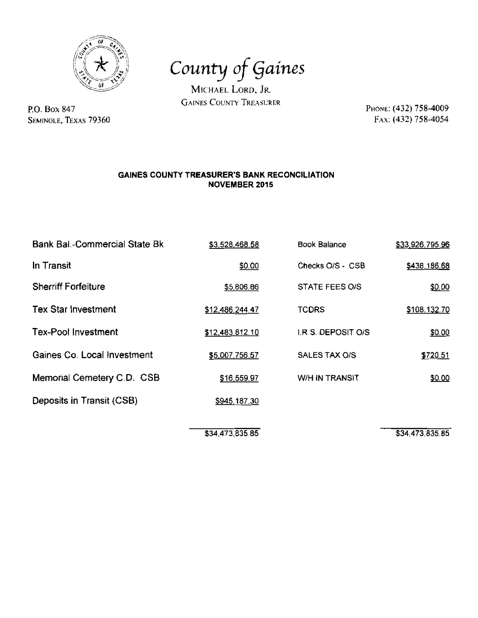

P.O. **Box 847 SEMINOLE, TEXAS** *79360* 

County of **Gaines** 

MICHAEL LORD, JR. **GAINES COUNTY TREASURER** 

Рноме: (432) 758-4009 FAX: (432) 758-4054

## **GAINES COUNTY TREASURER'S BANK RECONCILIATION NOVEMBER 2015**

| <b>Bank Bal.-Commercial State Bk</b> | \$3,528,468.58  | <b>Book Balance</b>       | \$33,926,795.96 |  |
|--------------------------------------|-----------------|---------------------------|-----------------|--|
| In Transit                           | \$0.00          | Checks O/S - CSB          | \$438,186.68    |  |
| <b>Sherriff Forfeiture</b>           | \$5,806.86      | STATE FEES O/S            | \$0.00          |  |
| <b>Tex Star Investment</b>           | \$12,486,244.47 | <b>TCDRS</b>              | \$108,132.70    |  |
| <b>Tex-Pool Investment</b>           | \$12,483,812.10 | <b>I.R.S. DEPOSIT O/S</b> | \$0.00          |  |
| Gaines Co. Local Investment          | \$5,007,756.57  | SALES TAX O/S             | \$720.51        |  |
| Memorial Cemetery C.D. CSB           | \$16,559.97     | <b>W/H IN TRANSIT</b>     | \$0.00          |  |
| Deposits in Transit (CSB)            | \$945,187.30    |                           |                 |  |
|                                      |                 |                           |                 |  |

\$34,473,835.85

\$34,473,835.85